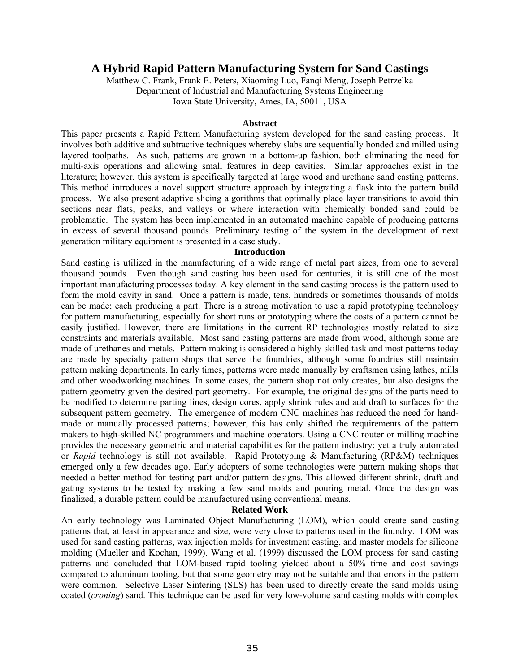# **A Hybrid Rapid Pattern Manufacturing System for Sand Castings**

Matthew C. Frank, Frank E. Peters, Xiaoming Luo, Fanqi Meng, Joseph Petrzelka Department of Industrial and Manufacturing Systems Engineering Iowa State University, Ames, IA, 50011, USA

#### **Abstract**

This paper presents a Rapid Pattern Manufacturing system developed for the sand casting process. It involves both additive and subtractive techniques whereby slabs are sequentially bonded and milled using layered toolpaths. As such, patterns are grown in a bottom-up fashion, both eliminating the need for multi-axis operations and allowing small features in deep cavities. Similar approaches exist in the literature; however, this system is specifically targeted at large wood and urethane sand casting patterns. This method introduces a novel support structure approach by integrating a flask into the pattern build process. We also present adaptive slicing algorithms that optimally place layer transitions to avoid thin sections near flats, peaks, and valleys or where interaction with chemically bonded sand could be problematic. The system has been implemented in an automated machine capable of producing patterns in excess of several thousand pounds. Preliminary testing of the system in the development of next generation military equipment is presented in a case study.

# **Introduction**

Sand casting is utilized in the manufacturing of a wide range of metal part sizes, from one to several thousand pounds. Even though sand casting has been used for centuries, it is still one of the most important manufacturing processes today. A key element in the sand casting process is the pattern used to form the mold cavity in sand. Once a pattern is made, tens, hundreds or sometimes thousands of molds can be made; each producing a part. There is a strong motivation to use a rapid prototyping technology for pattern manufacturing, especially for short runs or prototyping where the costs of a pattern cannot be easily justified. However, there are limitations in the current RP technologies mostly related to size constraints and materials available. Most sand casting patterns are made from wood, although some are made of urethanes and metals. Pattern making is considered a highly skilled task and most patterns today are made by specialty pattern shops that serve the foundries, although some foundries still maintain pattern making departments. In early times, patterns were made manually by craftsmen using lathes, mills and other woodworking machines. In some cases, the pattern shop not only creates, but also designs the pattern geometry given the desired part geometry. For example, the original designs of the parts need to be modified to determine parting lines, design cores, apply shrink rules and add draft to surfaces for the subsequent pattern geometry. The emergence of modern CNC machines has reduced the need for handmade or manually processed patterns; however, this has only shifted the requirements of the pattern makers to high-skilled NC programmers and machine operators. Using a CNC router or milling machine provides the necessary geometric and material capabilities for the pattern industry; yet a truly automated or *Rapid* technology is still not available. Rapid Prototyping & Manufacturing (RP&M) techniques emerged only a few decades ago. Early adopters of some technologies were pattern making shops that needed a better method for testing part and/or pattern designs. This allowed different shrink, draft and gating systems to be tested by making a few sand molds and pouring metal. Once the design was finalized, a durable pattern could be manufactured using conventional means.

#### **Related Work**

An early technology was Laminated Object Manufacturing (LOM), which could create sand casting patterns that, at least in appearance and size, were very close to patterns used in the foundry. LOM was used for sand casting patterns, wax injection molds for investment casting, and master models for silicone molding (Mueller and Kochan, 1999). Wang et al. (1999) discussed the LOM process for sand casting patterns and concluded that LOM-based rapid tooling yielded about a 50% time and cost savings compared to aluminum tooling, but that some geometry may not be suitable and that errors in the pattern were common. Selective Laser Sintering (SLS) has been used to directly create the sand molds using coated (*croning*) sand. This technique can be used for very low-volume sand casting molds with complex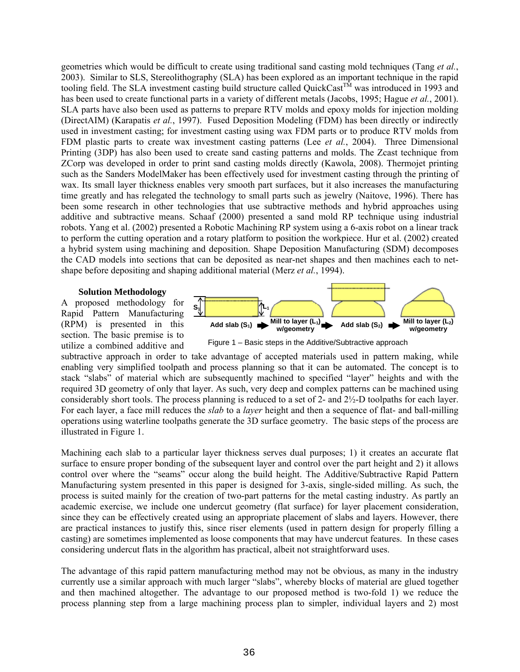geometries which would be difficult to create using traditional sand casting mold techniques (Tang *et al.*, 2003). Similar to SLS, Stereolithography (SLA) has been explored as an important technique in the rapid tooling field. The SLA investment casting build structure called QuickCast<sup>TM</sup> was introduced in 1993 and has been used to create functional parts in a variety of different metals (Jacobs, 1995; Hague *et al.*, 2001). SLA parts have also been used as patterns to prepare RTV molds and epoxy molds for injection molding (DirectAIM) (Karapatis *et al.*, 1997). Fused Deposition Modeling (FDM) has been directly or indirectly used in investment casting; for investment casting using wax FDM parts or to produce RTV molds from FDM plastic parts to create wax investment casting patterns (Lee *et al.*, 2004). Three Dimensional Printing (3DP) has also been used to create sand casting patterns and molds. The Zcast technique from ZCorp was developed in order to print sand casting molds directly (Kawola, 2008). Thermojet printing such as the Sanders ModelMaker has been effectively used for investment casting through the printing of wax. Its small layer thickness enables very smooth part surfaces, but it also increases the manufacturing time greatly and has relegated the technology to small parts such as jewelry (Naitove, 1996). There has been some research in other technologies that use subtractive methods and hybrid approaches using additive and subtractive means. Schaaf (2000) presented a sand mold RP technique using industrial robots. Yang et al. (2002) presented a Robotic Machining RP system using a 6-axis robot on a linear track to perform the cutting operation and a rotary platform to position the workpiece. Hur et al. (2002) created a hybrid system using machining and deposition. Shape Deposition Manufacturing (SDM) decomposes the CAD models into sections that can be deposited as near-net shapes and then machines each to netshape before depositing and shaping additional material (Merz *et al.*, 1994).

#### **Solution Methodology**

A proposed methodology for Rapid Pattern Manufacturing (RPM) is presented in this section. The basic premise is to utilize a combined additive and



Figure 1 – Basic steps in the Additive/Subtractive approach

subtractive approach in order to take advantage of accepted materials used in pattern making, while enabling very simplified toolpath and process planning so that it can be automated. The concept is to stack "slabs" of material which are subsequently machined to specified "layer" heights and with the required 3D geometry of only that layer. As such, very deep and complex patterns can be machined using considerably short tools. The process planning is reduced to a set of 2- and  $2\frac{1}{2}$ -D toolpaths for each layer. For each layer, a face mill reduces the *slab* to a *layer* height and then a sequence of flat- and ball-milling operations using waterline toolpaths generate the 3D surface geometry. The basic steps of the process are illustrated in Figure 1.

Machining each slab to a particular layer thickness serves dual purposes; 1) it creates an accurate flat surface to ensure proper bonding of the subsequent layer and control over the part height and 2) it allows control over where the "seams" occur along the build height. The Additive/Subtractive Rapid Pattern Manufacturing system presented in this paper is designed for 3-axis, single-sided milling. As such, the process is suited mainly for the creation of two-part patterns for the metal casting industry. As partly an academic exercise, we include one undercut geometry (flat surface) for layer placement consideration, since they can be effectively created using an appropriate placement of slabs and layers. However, there are practical instances to justify this, since riser elements (used in pattern design for properly filling a casting) are sometimes implemented as loose components that may have undercut features. In these cases considering undercut flats in the algorithm has practical, albeit not straightforward uses.

The advantage of this rapid pattern manufacturing method may not be obvious, as many in the industry currently use a similar approach with much larger "slabs", whereby blocks of material are glued together and then machined altogether. The advantage to our proposed method is two-fold 1) we reduce the process planning step from a large machining process plan to simpler, individual layers and 2) most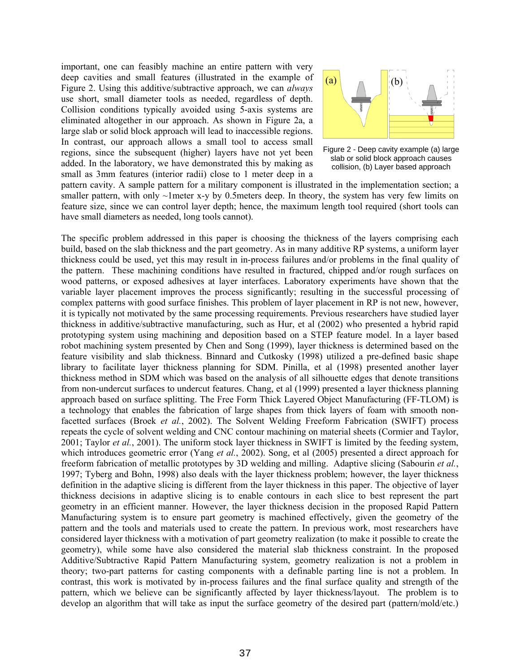important, one can feasibly machine an entire pattern with very deep cavities and small features (illustrated in the example of Figure 2. Using this additive/subtractive approach, we can *always* use short, small diameter tools as needed, regardless of depth. Collision conditions typically avoided using 5-axis systems are eliminated altogether in our approach. As shown in Figure 2a, a large slab or solid block approach will lead to inaccessible regions. In contrast, our approach allows a small tool to access small regions, since the subsequent (higher) layers have not yet been added. In the laboratory, we have demonstrated this by making as small as 3mm features (interior radii) close to 1 meter deep in a



Figure 2 - Deep cavity example (a) large slab or solid block approach causes collision, (b) Layer based approach

pattern cavity. A sample pattern for a military component is illustrated in the implementation section; a smaller pattern, with only  $\sim$ 1meter x-y by 0.5meters deep. In theory, the system has very few limits on feature size, since we can control layer depth; hence, the maximum length tool required (short tools can have small diameters as needed, long tools cannot).

The specific problem addressed in this paper is choosing the thickness of the layers comprising each build, based on the slab thickness and the part geometry. As in many additive RP systems, a uniform layer thickness could be used, yet this may result in in-process failures and/or problems in the final quality of the pattern. These machining conditions have resulted in fractured, chipped and/or rough surfaces on wood patterns, or exposed adhesives at layer interfaces. Laboratory experiments have shown that the variable layer placement improves the process significantly; resulting in the successful processing of complex patterns with good surface finishes. This problem of layer placement in RP is not new, however, it is typically not motivated by the same processing requirements. Previous researchers have studied layer thickness in additive/subtractive manufacturing, such as Hur, et al (2002) who presented a hybrid rapid prototyping system using machining and deposition based on a STEP feature model. In a layer based robot machining system presented by Chen and Song (1999), layer thickness is determined based on the feature visibility and slab thickness. Binnard and Cutkosky (1998) utilized a pre-defined basic shape library to facilitate layer thickness planning for SDM. Pinilla, et al (1998) presented another layer thickness method in SDM which was based on the analysis of all silhouette edges that denote transitions from non-undercut surfaces to undercut features. Chang, et al (1999) presented a layer thickness planning approach based on surface splitting. The Free Form Thick Layered Object Manufacturing (FF-TLOM) is a technology that enables the fabrication of large shapes from thick layers of foam with smooth nonfacetted surfaces (Broek *et al.*, 2002). The Solvent Welding Freeform Fabrication (SWIFT) process repeats the cycle of solvent welding and CNC contour machining on material sheets (Cormier and Taylor, 2001; Taylor *et al.*, 2001). The uniform stock layer thickness in SWIFT is limited by the feeding system, which introduces geometric error (Yang *et al.*, 2002). Song, et al (2005) presented a direct approach for freeform fabrication of metallic prototypes by 3D welding and milling. Adaptive slicing (Sabourin *et al.*, 1997; Tyberg and Bohn, 1998) also deals with the layer thickness problem; however, the layer thickness definition in the adaptive slicing is different from the layer thickness in this paper. The objective of layer thickness decisions in adaptive slicing is to enable contours in each slice to best represent the part geometry in an efficient manner. However, the layer thickness decision in the proposed Rapid Pattern Manufacturing system is to ensure part geometry is machined effectively, given the geometry of the pattern and the tools and materials used to create the pattern. In previous work, most researchers have considered layer thickness with a motivation of part geometry realization (to make it possible to create the geometry), while some have also considered the material slab thickness constraint. In the proposed Additive/Subtractive Rapid Pattern Manufacturing system, geometry realization is not a problem in theory; two-part patterns for casting components with a definable parting line is not a problem. In contrast, this work is motivated by in-process failures and the final surface quality and strength of the pattern, which we believe can be significantly affected by layer thickness/layout. The problem is to develop an algorithm that will take as input the surface geometry of the desired part (pattern/mold/etc.)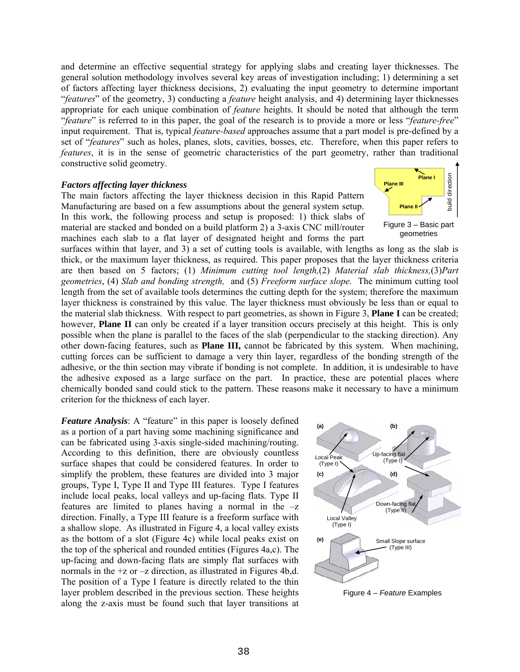and determine an effective sequential strategy for applying slabs and creating layer thicknesses. The general solution methodology involves several key areas of investigation including; 1) determining a set of factors affecting layer thickness decisions, 2) evaluating the input geometry to determine important "*features*" of the geometry, 3) conducting a *feature* height analysis, and 4) determining layer thicknesses appropriate for each unique combination of *feature* heights. It should be noted that although the term "*feature*" is referred to in this paper, the goal of the research is to provide a more or less "*feature-free*" input requirement. That is, typical *feature-based* approaches assume that a part model is pre-defined by a set of "*features*" such as holes, planes, slots, cavities, bosses, etc. Therefore, when this paper refers to *features*, it is in the sense of geometric characteristics of the part geometry, rather than traditional constructive solid geometry.

## *Factors affecting layer thickness*

The main factors affecting the layer thickness decision in this Rapid Pattern Manufacturing are based on a few assumptions about the general system setup. In this work, the following process and setup is proposed: 1) thick slabs of material are stacked and bonded on a build platform 2) a 3-axis CNC mill/router machines each slab to a flat layer of designated height and forms the part



geometries

surfaces within that layer, and 3) a set of cutting tools is available, with lengths as long as the slab is thick, or the maximum layer thickness, as required. This paper proposes that the layer thickness criteria are then based on 5 factors; (1) *Minimum cutting tool length,*(2) *Material slab thickness,*(3)*Part geometries*, (4) *Slab and bonding strength,* and (5) *Freeform surface slope.* The minimum cutting tool length from the set of available tools determines the cutting depth for the system; therefore the maximum layer thickness is constrained by this value. The layer thickness must obviously be less than or equal to the material slab thickness. With respect to part geometries, as shown in Figure 3, **Plane I** can be created; however, **Plane II** can only be created if a layer transition occurs precisely at this height. This is only possible when the plane is parallel to the faces of the slab (perpendicular to the stacking direction). Any other down-facing features, such as **Plane III,** cannot be fabricated by this system. When machining, cutting forces can be sufficient to damage a very thin layer, regardless of the bonding strength of the adhesive, or the thin section may vibrate if bonding is not complete. In addition, it is undesirable to have the adhesive exposed as a large surface on the part. In practice, these are potential places where chemically bonded sand could stick to the pattern. These reasons make it necessary to have a minimum criterion for the thickness of each layer.

*Feature Analysis*: A "feature" in this paper is loosely defined as a portion of a part having some machining significance and can be fabricated using 3-axis single-sided machining/routing. According to this definition, there are obviously countless surface shapes that could be considered features. In order to simplify the problem, these features are divided into 3 major groups, Type I, Type II and Type III features. Type I features include local peaks, local valleys and up-facing flats. Type II features are limited to planes having a normal in the  $-z$ direction. Finally, a Type III feature is a freeform surface with a shallow slope. As illustrated in Figure 4, a local valley exists as the bottom of a slot (Figure 4c) while local peaks exist on the top of the spherical and rounded entities (Figures 4a,c). The up-facing and down-facing flats are simply flat surfaces with normals in the +z or –z direction, as illustrated in Figures 4b,d. The position of a Type I feature is directly related to the thin layer problem described in the previous section. These heights along the z-axis must be found such that layer transitions at



Figure 4 – *Feature* Examples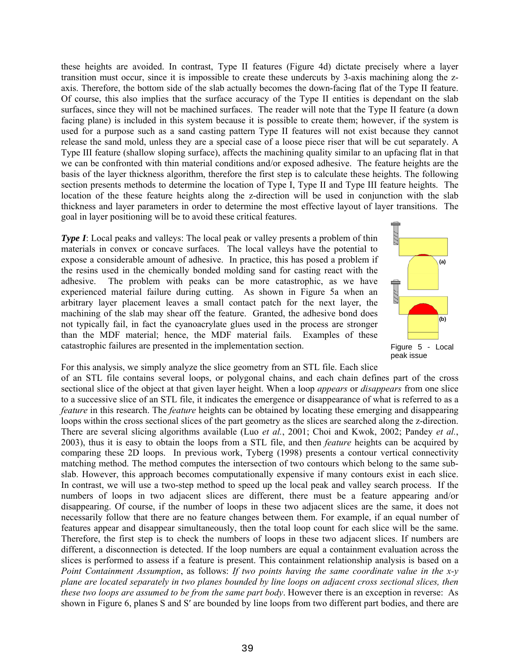these heights are avoided. In contrast, Type II features (Figure 4d) dictate precisely where a layer transition must occur, since it is impossible to create these undercuts by 3-axis machining along the zaxis. Therefore, the bottom side of the slab actually becomes the down-facing flat of the Type II feature. Of course, this also implies that the surface accuracy of the Type II entities is dependant on the slab surfaces, since they will not be machined surfaces. The reader will note that the Type II feature (a down facing plane) is included in this system because it is possible to create them; however, if the system is used for a purpose such as a sand casting pattern Type II features will not exist because they cannot release the sand mold, unless they are a special case of a loose piece riser that will be cut separately. A Type III feature (shallow sloping surface), affects the machining quality similar to an upfacing flat in that we can be confronted with thin material conditions and/or exposed adhesive. The feature heights are the basis of the layer thickness algorithm, therefore the first step is to calculate these heights. The following section presents methods to determine the location of Type I, Type II and Type III feature heights. The location of the these feature heights along the z-direction will be used in conjunction with the slab thickness and layer parameters in order to determine the most effective layout of layer transitions. The goal in layer positioning will be to avoid these critical features.

*Type I*: Local peaks and valleys: The local peak or valley presents a problem of thin materials in convex or concave surfaces. The local valleys have the potential to expose a considerable amount of adhesive. In practice, this has posed a problem if the resins used in the chemically bonded molding sand for casting react with the adhesive. The problem with peaks can be more catastrophic, as we have experienced material failure during cutting. As shown in Figure 5a when an arbitrary layer placement leaves a small contact patch for the next layer, the machining of the slab may shear off the feature. Granted, the adhesive bond does not typically fail, in fact the cyanoacrylate glues used in the process are stronger than the MDF material; hence, the MDF material fails. Examples of these catastrophic failures are presented in the implementation section.



peak issue

For this analysis, we simply analyze the slice geometry from an STL file. Each slice

of an STL file contains several loops, or polygonal chains, and each chain defines part of the cross sectional slice of the object at that given layer height. When a loop *appears* or *disappears* from one slice to a successive slice of an STL file, it indicates the emergence or disappearance of what is referred to as a *feature* in this research. The *feature* heights can be obtained by locating these emerging and disappearing loops within the cross sectional slices of the part geometry as the slices are searched along the z-direction. There are several slicing algorithms available (Luo *et al.*, 2001; Choi and Kwok, 2002; Pandey *et al.*, 2003), thus it is easy to obtain the loops from a STL file, and then *feature* heights can be acquired by comparing these 2D loops. In previous work, Tyberg (1998) presents a contour vertical connectivity matching method. The method computes the intersection of two contours which belong to the same subslab. However, this approach becomes computationally expensive if many contours exist in each slice. In contrast, we will use a two-step method to speed up the local peak and valley search process. If the numbers of loops in two adjacent slices are different, there must be a feature appearing and/or disappearing. Of course, if the number of loops in these two adjacent slices are the same, it does not necessarily follow that there are no feature changes between them. For example, if an equal number of features appear and disappear simultaneously, then the total loop count for each slice will be the same. Therefore, the first step is to check the numbers of loops in these two adjacent slices. If numbers are different, a disconnection is detected. If the loop numbers are equal a containment evaluation across the slices is performed to assess if a feature is present. This containment relationship analysis is based on a *Point Containment Assumption*, as follows: *If two points having the same coordinate value in the x-y plane are located separately in two planes bounded by line loops on adjacent cross sectional slices, then these two loops are assumed to be from the same part body*. However there is an exception in reverse: As shown in Figure 6, planes S and S′ are bounded by line loops from two different part bodies, and there are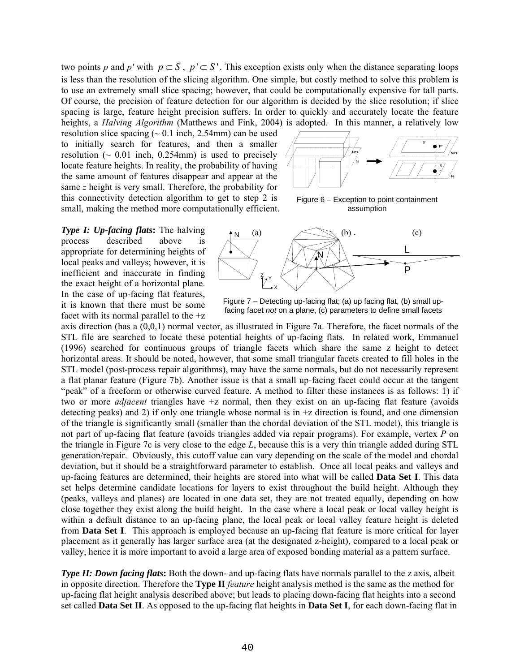two points *p* and *p'* with  $p \subset S$ ,  $p' \subset S'$ . This exception exists only when the distance separating loops is less than the resolution of the slicing algorithm. One simple, but costly method to solve this problem is to use an extremely small slice spacing; however, that could be computationally expensive for tall parts. Of course, the precision of feature detection for our algorithm is decided by the slice resolution; if slice spacing is large, feature height precision suffers. In order to quickly and accurately locate the feature heights, a *Halving Algorithm* (Matthews and Fink, 2004) is adopted. In this manner, a relatively low

resolution slice spacing  $(\sim 0.1 \text{ inch}, 2.54 \text{ mm})$  can be used to initially search for features, and then a smaller resolution ( $\sim 0.01$  inch, 0.254mm) is used to precisely locate feature heights. In reality, the probability of having the same amount of features disappear and appear at the same *z* height is very small. Therefore, the probability for this connectivity detection algorithm to get to step 2 is small, making the method more computationally efficient.



Figure 6 – Exception to point containment assumption

*Type I: Up-facing flats***:** The halving process described above is appropriate for determining heights of local peaks and valleys; however, it is inefficient and inaccurate in finding the exact height of a horizontal plane. In the case of up-facing flat features, it is known that there must be some facet with its normal parallel to the  $+z$ 



Figure 7 – Detecting up-facing flat; (a) up facing flat, (b) small upfacing facet *not* on a plane, (c) parameters to define small facets

axis direction (has a (0,0,1) normal vector, as illustrated in Figure 7a. Therefore, the facet normals of the STL file are searched to locate these potential heights of up-facing flats. In related work, Emmanuel (1996) searched for continuous groups of triangle facets which share the same z height to detect horizontal areas. It should be noted, however, that some small triangular facets created to fill holes in the STL model (post-process repair algorithms), may have the same normals, but do not necessarily represent a flat planar feature (Figure 7b). Another issue is that a small up-facing facet could occur at the tangent "peak" of a freeform or otherwise curved feature. A method to filter these instances is as follows: 1) if two or more *adjacent* triangles have +z normal, then they exist on an up-facing flat feature (avoids detecting peaks) and 2) if only one triangle whose normal is in  $+z$  direction is found, and one dimension of the triangle is significantly small (smaller than the chordal deviation of the STL model), this triangle is not part of up-facing flat feature (avoids triangles added via repair programs). For example, vertex *P* on the triangle in Figure 7c is very close to the edge *L*, because this is a very thin triangle added during STL generation/repair. Obviously, this cutoff value can vary depending on the scale of the model and chordal deviation, but it should be a straightforward parameter to establish. Once all local peaks and valleys and up-facing features are determined, their heights are stored into what will be called **Data Set I**. This data set helps determine candidate locations for layers to exist throughout the build height. Although they (peaks, valleys and planes) are located in one data set, they are not treated equally, depending on how close together they exist along the build height. In the case where a local peak or local valley height is within a default distance to an up-facing plane, the local peak or local valley feature height is deleted from **Data Set I**. This approach is employed because an up-facing flat feature is more critical for layer placement as it generally has larger surface area (at the designated z-height), compared to a local peak or valley, hence it is more important to avoid a large area of exposed bonding material as a pattern surface.

*Type II: Down facing flats*: Both the down- and up-facing flats have normals parallel to the z axis, albeit in opposite direction. Therefore the **Type II** *feature* height analysis method is the same as the method for up-facing flat height analysis described above; but leads to placing down-facing flat heights into a second set called **Data Set II**. As opposed to the up-facing flat heights in **Data Set I**, for each down-facing flat in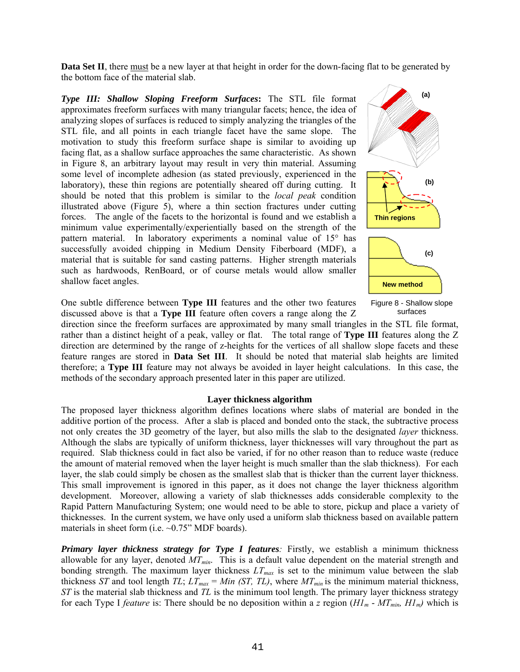**Data Set II**, there must be a new layer at that height in order for the down-facing flat to be generated by the bottom face of the material slab.

*Type III: Shallow Sloping Freeform Surfaces***:** The STL file format approximates freeform surfaces with many triangular facets; hence, the idea of analyzing slopes of surfaces is reduced to simply analyzing the triangles of the STL file, and all points in each triangle facet have the same slope. The motivation to study this freeform surface shape is similar to avoiding up facing flat, as a shallow surface approaches the same characteristic. As shown in Figure 8, an arbitrary layout may result in very thin material. Assuming some level of incomplete adhesion (as stated previously, experienced in the laboratory), these thin regions are potentially sheared off during cutting. It should be noted that this problem is similar to the *local peak* condition illustrated above (Figure 5), where a thin section fractures under cutting forces. The angle of the facets to the horizontal is found and we establish a minimum value experimentally/experientially based on the strength of the pattern material. In laboratory experiments a nominal value of 15° has successfully avoided chipping in Medium Density Fiberboard (MDF), a material that is suitable for sand casting patterns. Higher strength materials such as hardwoods, RenBoard, or of course metals would allow smaller shallow facet angles.



surfaces

One subtle difference between **Type III** features and the other two features discussed above is that a **Type III** feature often covers a range along the Z

direction since the freeform surfaces are approximated by many small triangles in the STL file format, rather than a distinct height of a peak, valley or flat. The total range of **Type III** features along the Z direction are determined by the range of z-heights for the vertices of all shallow slope facets and these feature ranges are stored in **Data Set III**. It should be noted that material slab heights are limited therefore; a **Type III** feature may not always be avoided in layer height calculations. In this case, the methods of the secondary approach presented later in this paper are utilized.

## **Layer thickness algorithm**

The proposed layer thickness algorithm defines locations where slabs of material are bonded in the additive portion of the process. After a slab is placed and bonded onto the stack, the subtractive process not only creates the 3D geometry of the layer, but also mills the slab to the designated *layer* thickness. Although the slabs are typically of uniform thickness, layer thicknesses will vary throughout the part as required. Slab thickness could in fact also be varied, if for no other reason than to reduce waste (reduce the amount of material removed when the layer height is much smaller than the slab thickness). For each layer, the slab could simply be chosen as the smallest slab that is thicker than the current layer thickness. This small improvement is ignored in this paper, as it does not change the layer thickness algorithm development. Moreover, allowing a variety of slab thicknesses adds considerable complexity to the Rapid Pattern Manufacturing System; one would need to be able to store, pickup and place a variety of thicknesses. In the current system, we have only used a uniform slab thickness based on available pattern materials in sheet form (i.e.  $\sim 0.75$ " MDF boards).

*Primary layer thickness strategy for Type I features*: Firstly, we establish a minimum thickness allowable for any layer, denoted  $MT_{min}$ . This is a default value dependent on the material strength and bonding strength. The maximum layer thickness  $LT_{max}$  is set to the minimum value between the slab thickness *ST* and tool length *TL*;  $LT_{max} = Min$  (*ST*, *TL*), where  $MT_{min}$  is the minimum material thickness, *ST* is the material slab thickness and *TL* is the minimum tool length. The primary layer thickness strategy for each Type I *feature* is: There should be no deposition within a *z* region ( $H1_m$  -  $MT_{min}$ ,  $H1_m$ ) which is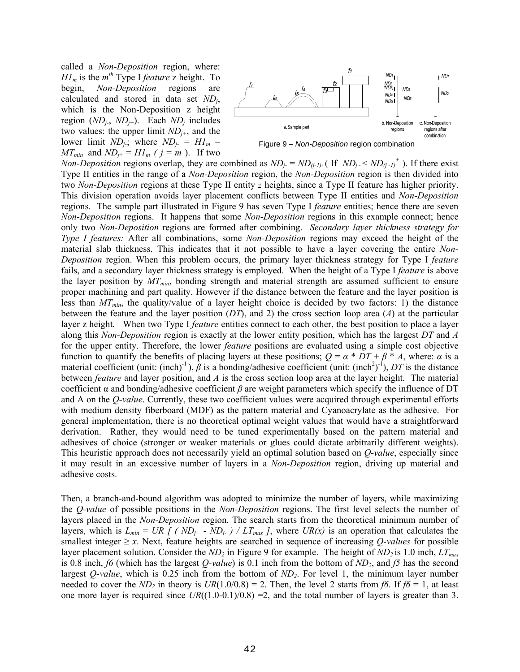called a *Non-Deposition* region, where:  $H1_m$  is the  $m^{th}$  Type I *feature* z height. To begin, *Non-Deposition* regions are calculated and stored in data set *NDj*, which is the Non-Deposition z height region (*NDj-*, *NDj+*). Each *NDj* includes two values: the upper limit *NDj+*, and the lower limit  $ND_i$ ; where  $ND_i = HI_m$  –  $MT_{min}$  and  $ND_{j+} = HI_m$  ( $j = m$ ). If two



Figure 9 – *Non-Deposition* region combination

*Non-Deposition regions overlap, they are combined as*  $ND_i = ND_{(i-1)}$ *. (If*  $ND_i \leq ND_{(i-1)}^+$ *). If there exist* Type II entities in the range of a *Non-Deposition* region, the *Non-Deposition* region is then divided into two *Non-Deposition* regions at these Type II entity *z* heights, since a Type II feature has higher priority. This division operation avoids layer placement conflicts between Type II entities and *Non-Deposition* regions. The sample part illustrated in Figure 9 has seven Type I *feature* entities; hence there are seven *Non-Deposition* regions. It happens that some *Non-Deposition* regions in this example connect; hence only two *Non-Deposition* regions are formed after combining. *Secondary layer thickness strategy for Type I features:* After all combinations, some *Non-Deposition* regions may exceed the height of the material slab thickness. This indicates that it not possible to have a layer covering the entire *Non-Deposition* region. When this problem occurs, the primary layer thickness strategy for Type I *feature* fails, and a secondary layer thickness strategy is employed. When the height of a Type I *feature* is above the layer position by  $MT_{min}$ , bonding strength and material strength are assumed sufficient to ensure proper machining and part quality. However if the distance between the feature and the layer position is less than *MTmin*, the quality/value of a layer height choice is decided by two factors: 1) the distance between the feature and the layer position (*DT*), and 2) the cross section loop area (*A*) at the particular layer z height. When two Type I *feature* entities connect to each other, the best position to place a layer along this *Non-Deposition* region is exactly at the lower entity position, which has the largest *DT* and *A* for the upper entity. Therefore, the lower *feature* positions are evaluated using a simple cost objective function to quantify the benefits of placing layers at these positions;  $Q = \alpha * DT + \beta * A$ , where:  $\alpha$  is a material coefficient (unit: (inch)<sup>-1</sup>),  $\hat{\beta}$  is a bonding/adhesive coefficient (unit: (inch<sup>2</sup>)<sup>-1</sup>), *DT* is the distance between *feature* and layer position, and *A* is the cross section loop area at the layer height. The material coefficient α and bonding/adhesive coefficient *β* are weight parameters which specify the influence of DT and A on the *Q-value*. Currently, these two coefficient values were acquired through experimental efforts with medium density fiberboard (MDF) as the pattern material and Cyanoacrylate as the adhesive. For general implementation, there is no theoretical optimal weight values that would have a straightforward derivation. Rather, they would need to be tuned experimentally based on the pattern material and adhesives of choice (stronger or weaker materials or glues could dictate arbitrarily different weights). This heuristic approach does not necessarily yield an optimal solution based on *Q-value*, especially since it may result in an excessive number of layers in a *Non-Deposition* region, driving up material and adhesive costs.

Then, a branch-and-bound algorithm was adopted to minimize the number of layers, while maximizing the *Q-value* of possible positions in the *Non-Deposition* regions. The first level selects the number of layers placed in the *Non-Deposition* region. The search starts from the theoretical minimum number of layers, which is  $L_{min} = UR \int (ND_{j+} - ND_{j-}) / LT_{max}$ , where  $UR(x)$  is an operation that calculates the smallest integer  $\geq x$ . Next, feature heights are searched in sequence of increasing *Q-values* for possible layer placement solution. Consider the *ND2* in Figure 9 for example. The height of *ND2* is 1.0 inch, *LTmax* is 0.8 inch, *f6* (which has the largest *Q-value*) is 0.1 inch from the bottom of *ND2*, and *f5* has the second largest *Q-value*, which is 0.25 inch from the bottom of *ND2*. For level 1, the minimum layer number needed to cover the  $ND_2$  in theory is  $UR(1.0/0.8) = 2$ . Then, the level 2 starts from *f6*. If  $f6 = 1$ , at least one more layer is required since  $UR((1.0-0.1)/0.8) = 2$ , and the total number of layers is greater than 3.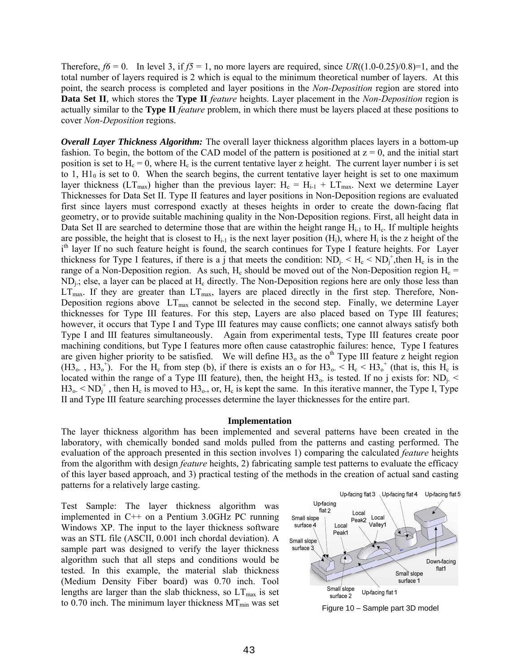Therefore,  $f6 = 0$ . In level 3, if  $f5 = 1$ , no more layers are required, since  $UR((1.0-0.25)/0.8)=1$ , and the total number of layers required is 2 which is equal to the minimum theoretical number of layers. At this point, the search process is completed and layer positions in the *Non-Deposition* region are stored into **Data Set II**, which stores the **Type II** *feature* heights. Layer placement in the *Non-Deposition* region is actually similar to the **Type II** *feature* problem, in which there must be layers placed at these positions to cover *Non-Deposition* regions.

*Overall Layer Thickness Algorithm:* The overall layer thickness algorithm places layers in a bottom-up fashion. To begin, the bottom of the CAD model of the pattern is positioned at  $z = 0$ , and the initial start position is set to  $H_c = 0$ , where  $H_c$  is the current tentative layer z height. The current layer number i is set to 1,  $H1<sub>0</sub>$  is set to 0. When the search begins, the current tentative layer height is set to one maximum layer thickness (LT<sub>max</sub>) higher than the previous layer:  $H_c = H_{i-1} + LT_{max}$ . Next we determine Layer Thicknesses for Data Set II. Type II features and layer positions in Non-Deposition regions are evaluated first since layers must correspond exactly at theses heights in order to create the down-facing flat geometry, or to provide suitable machining quality in the Non-Deposition regions. First, all height data in Data Set II are searched to determine those that are within the height range  $H_{i-1}$  to  $H_c$ . If multiple heights are possible, the height that is closest to  $H_{i-1}$  is the next layer position  $(H_i)$ , where  $H_i$  is the z height of the i<sup>th</sup> layer If no such feature height is found, the search continues for Type I feature heights. For Layer thickness for Type I features, if there is a j that meets the condition:  $ND_j < H_c < ND_j^+$ , then  $H_c$  is in the range of a Non-Deposition region. As such,  $H_c$  should be moved out of the Non-Deposition region  $H_c$  =  $ND_i$ ; else, a layer can be placed at  $H_c$  directly. The Non-Deposition regions here are only those less than  $LT_{max}$ . If they are greater than  $LT_{max}$ , layers are placed directly in the first step. Therefore, Non-Deposition regions above  $LT_{max}$  cannot be selected in the second step. Finally, we determine Layer thicknesses for Type III features. For this step, Layers are also placed based on Type III features; however, it occurs that Type I and Type III features may cause conflicts; one cannot always satisfy both Type I and III features simultaneously. Again from experimental tests, Type III features create poor machining conditions, but Type I features more often cause catastrophic failures: hence, Type I features are given higher priority to be satisfied. We will define  $H3_0$  as the  $o<sup>th</sup>$  Type III feature z height region  $(H3<sub>o</sub>^{\text{+}}, H3<sub>o</sub>^{\text{+}})$ . For the H<sub>c</sub> from step (b), if there is exists an o for  $H3<sub>o</sub>^{\text{+}} < H<sub>c</sub>^{\text{+}}$  (that is, this H<sub>c</sub> is located within the range of a Type III feature), then, the height  $H3_0$ - is tested. If no j exists for: ND<sub>i</sub>- $H3_0 \leq N D_1^+$ , then  $H_c$  is moved to  $H3_0$ , or,  $H_c$  is kept the same. In this iterative manner, the Type I, Type II and Type III feature searching processes determine the layer thicknesses for the entire part.

#### **Implementation**

The layer thickness algorithm has been implemented and several patterns have been created in the laboratory, with chemically bonded sand molds pulled from the patterns and casting performed. The evaluation of the approach presented in this section involves 1) comparing the calculated *feature* heights from the algorithm with design *feature* heights, 2) fabricating sample test patterns to evaluate the efficacy of this layer based approach, and 3) practical testing of the methods in the creation of actual sand casting patterns for a relatively large casting.

Test Sample: The layer thickness algorithm was implemented in C++ on a Pentium 3.0GHz PC running Windows XP. The input to the layer thickness software was an STL file (ASCII, 0.001 inch chordal deviation). A sample part was designed to verify the layer thickness algorithm such that all steps and conditions would be tested. In this example, the material slab thickness (Medium Density Fiber board) was 0.70 inch. Tool lengths are larger than the slab thickness, so  $LT_{\text{max}}$  is set to 0.70 inch. The minimum layer thickness, so  $L_{\text{max}}$  is set<br>to 0.70 inch. The minimum layer thickness  $MT_{\text{min}}$  was set<br>Figure 10 – Sample part 3D model

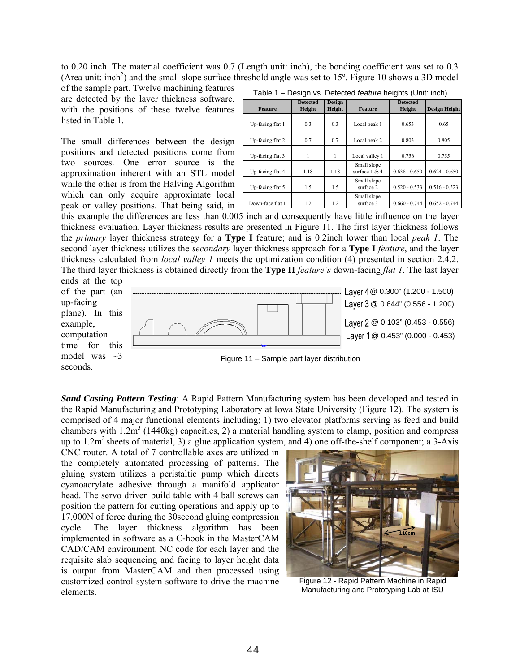to 0.20 inch. The material coefficient was 0.7 (Length unit: inch), the bonding coefficient was set to 0.3 (Area unit: inch<sup>2</sup>) and the small slope surface threshold angle was set to  $15^{\circ}$ . Figure 10 shows a 3D model

of the sample part. Twelve machining features are detected by the layer thickness software, with the positions of these twelve features listed in Table 1.

The small differences between the design positions and detected positions come from two sources. One error source is the approximation inherent with an STL model while the other is from the Halving Algorithm which can only acquire approximate local peak or valley positions. That being said, in

| <b>Feature</b>   | <b>Detected</b><br>Height | <b>Design</b><br>Height | Feature                      | <b>Detected</b><br>Height | <b>Design Height</b> |
|------------------|---------------------------|-------------------------|------------------------------|---------------------------|----------------------|
| Up-facing flat 1 | 0.3                       | 0.3                     | Local peak 1                 | 0.653                     | 0.65                 |
| Up-facing flat 2 | 0.7                       | 0.7                     | Local peak 2                 | 0.803                     | 0.805                |
| Up-facing flat 3 |                           |                         | Local valley 1               | 0.756                     | 0.755                |
| Up-facing flat 4 | 1.18                      | 1.18                    | Small slope<br>surface 1 & 4 | $0.638 - 0.650$           | $0.624 - 0.650$      |
| Up-facing flat 5 | 1.5                       | 1.5                     | Small slope<br>surface 2     | $0.520 - 0.533$           | $0.516 - 0.523$      |
| Down-face flat 1 | 1.2                       | 1.2                     | Small slope<br>surface 3     | $0.660 - 0.744$           | $0.652 - 0.744$      |

Table 1 – Design vs. Detected *feature* heights (Unit: inch)

this example the differences are less than 0.005 inch and consequently have little influence on the layer thickness evaluation. Layer thickness results are presented in Figure 11. The first layer thickness follows the *primary* layer thickness strategy for a **Type I** feature; and is 0.2inch lower than local *peak 1*. The second layer thickness utilizes the *secondary* layer thickness approach for a **Type I** *feature*, and the layer thickness calculated from *local valley 1* meets the optimization condition (4) presented in section 2.4.2. The third layer thickness is obtained directly from the **Type II** *feature's* down-facing *flat 1*. The last layer

ends at the top of the part (an up-facing plane). In this example, computation time for this model was  $\sim$ 3 seconds.



Figure 11 – Sample part layer distribution

*Sand Casting Pattern Testing*: A Rapid Pattern Manufacturing system has been developed and tested in the Rapid Manufacturing and Prototyping Laboratory at Iowa State University (Figure 12). The system is comprised of 4 major functional elements including; 1) two elevator platforms serving as feed and build chambers with  $1.2m<sup>3</sup>$  (1440kg) capacities, 2) a material handling system to clamp, position and compress up to 1.2m<sup>2</sup> sheets of material, 3) a glue application system, and 4) one off-the-shelf component; a 3-Axis

CNC router. A total of 7 controllable axes are utilized in the completely automated processing of patterns. The gluing system utilizes a peristaltic pump which directs cyanoacrylate adhesive through a manifold applicator head. The servo driven build table with 4 ball screws can position the pattern for cutting operations and apply up to 17,000N of force during the 30second gluing compression cycle. The layer thickness algorithm has been implemented in software as a C-hook in the MasterCAM CAD/CAM environment. NC code for each layer and the requisite slab sequencing and facing to layer height data is output from MasterCAM and then processed using customized control system software to drive the machine elements.



Figure 12 - Rapid Pattern Machine in Rapid Manufacturing and Prototyping Lab at ISU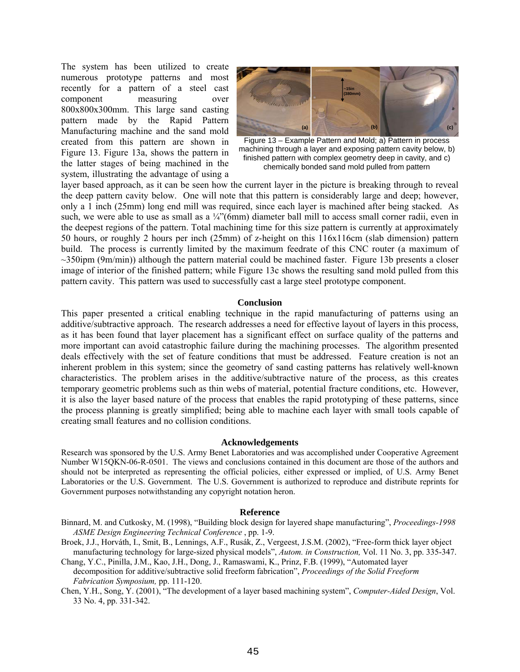The system has been utilized to create numerous prototype patterns and most recently for a pattern of a steel cast component measuring over 800x800x300mm. This large sand casting pattern made by the Rapid Pattern Manufacturing machine and the sand mold created from this pattern are shown in Figure 13. Figure 13a, shows the pattern in the latter stages of being machined in the system, illustrating the advantage of using a



Figure 13 – Example Pattern and Mold; a) Pattern in process machining through a layer and exposing pattern cavity below, b) finished pattern with complex geometry deep in cavity, and c) chemically bonded sand mold pulled from pattern

layer based approach, as it can be seen how the current layer in the picture is breaking through to reveal the deep pattern cavity below. One will note that this pattern is considerably large and deep; however, only a 1 inch (25mm) long end mill was required, since each layer is machined after being stacked. As such, we were able to use as small as a ¼"(6mm) diameter ball mill to access small corner radii, even in the deepest regions of the pattern. Total machining time for this size pattern is currently at approximately 50 hours, or roughly 2 hours per inch (25mm) of z-height on this 116x116cm (slab dimension) pattern build. The process is currently limited by the maximum feedrate of this CNC router (a maximum of  $\sim$ 350ipm (9m/min)) although the pattern material could be machined faster. Figure 13b presents a closer image of interior of the finished pattern; while Figure 13c shows the resulting sand mold pulled from this pattern cavity. This pattern was used to successfully cast a large steel prototype component.

## **Conclusion**

This paper presented a critical enabling technique in the rapid manufacturing of patterns using an additive/subtractive approach. The research addresses a need for effective layout of layers in this process, as it has been found that layer placement has a significant effect on surface quality of the patterns and more important can avoid catastrophic failure during the machining processes. The algorithm presented deals effectively with the set of feature conditions that must be addressed. Feature creation is not an inherent problem in this system; since the geometry of sand casting patterns has relatively well-known characteristics. The problem arises in the additive/subtractive nature of the process, as this creates temporary geometric problems such as thin webs of material, potential fracture conditions, etc. However, it is also the layer based nature of the process that enables the rapid prototyping of these patterns, since the process planning is greatly simplified; being able to machine each layer with small tools capable of creating small features and no collision conditions.

## **Acknowledgements**

Research was sponsored by the U.S. Army Benet Laboratories and was accomplished under Cooperative Agreement Number W15QKN-06-R-0501. The views and conclusions contained in this document are those of the authors and should not be interpreted as representing the official policies, either expressed or implied, of U.S. Army Benet Laboratories or the U.S. Government. The U.S. Government is authorized to reproduce and distribute reprints for Government purposes notwithstanding any copyright notation heron.

### **Reference**

Binnard, M. and Cutkosky, M. (1998), "Building block design for layered shape manufacturing", *Proceedings-1998 ASME Design Engineering Technical Conference* , pp. 1-9.

Broek, J.J., Horváth, I., Smit, B., Lennings, A.F., Rusák, Z., Vergeest, J.S.M. (2002), "Free-form thick layer object manufacturing technology for large-sized physical models", *Autom. in Construction,* Vol. 11 No. 3, pp. 335-347.

Chang, Y.C., Pinilla, J.M., Kao, J.H., Dong, J., Ramaswami, K., Prinz, F.B. (1999), "Automated layer decomposition for additive/subtractive solid freeform fabrication", *Proceedings of the Solid Freeform Fabrication Symposium,* pp. 111-120.

Chen, Y.H., Song, Y. (2001), "The development of a layer based machining system", *Computer-Aided Design*, Vol. 33 No. 4, pp. 331-342.